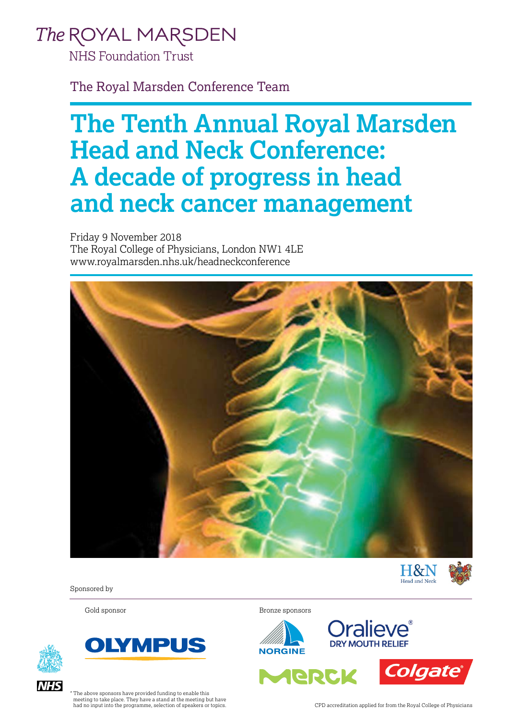## The ROYAL MARSDEN

**NHS Foundation Trust** 

The Royal Marsden Conference Team

# **The Tenth Annual Royal Marsden Head and Neck Conference: A decade of progress in head and neck cancer management**

Friday 9 November 2018 The Royal College of Physicians, London NW1 4LE www.royalmarsden.nhs.uk/headneckconference







Sponsored by





Gold sponsor Bronze sponsors





ARRCK



The above sponsors have provided funding to enable this meeting to take place. They have a stand at the meeting but have had no input into the programme, selection of speakers or topics. CPD accreditation applied for from the Royal College of Physicians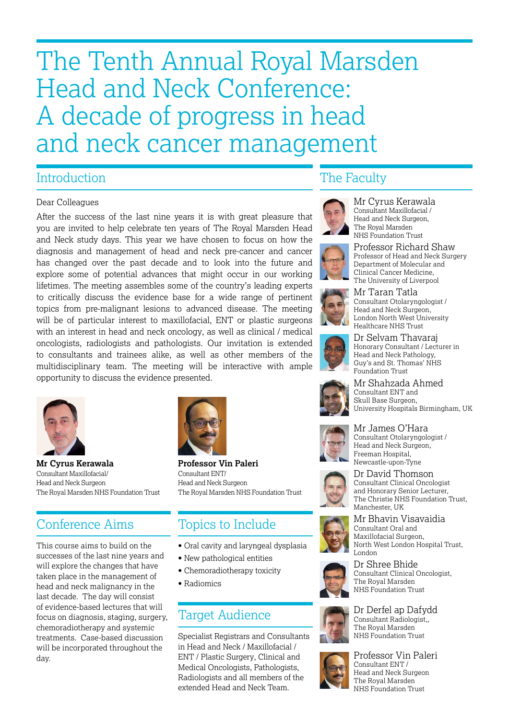# The Tenth Annual Royal Marsden Head and Neck Conference: A decade of progress in head and neck cancer management

#### Introduction

#### Dear Colleagues

After the success of the last nine years it is with great pleasure that you are invited to help celebrate ten years of The Royal Marsden Head and Neck study days. This year we have chosen to focus on how the diagnosis and management of head and neck pre-cancer and cancer has changed over the past decade and to look into the future and explore some of potential advances that might occur in our working lifetimes. The meeting assembles some of the country's leading experts to critically discuss the evidence base for a wide range of pertinent topics from pre-malignant lesions to advanced disease. The meeting will be of particular interest to maxillofacial, ENT or plastic surgeons with an interest in head and neck oncology, as well as clinical / medical oncologists, radiologists and pathologists. Our invitation is extended to consultants and trainees alike, as well as other members of the multidisciplinary team. The meeting will be interactive with ample opportunity to discuss the evidence presented.



**Mr Cyrus Kerawala Professor Vin Paleri** Consultant Maxillofacial/ Consultant ENT/ Head and Neck Surgeon Head and Neck Surgeon

### Conference Aims

This course aims to build on the successes of the last nine years and will explore the changes that have taken place in the management of head and neck malignancy in the last decade. The day will consist of evidence-based lectures that will focus on diagnosis, staging, surgery, chemoradiotherapy and systemic treatments. Case-based discussion will be incorporated throughout the day.



The Royal Marsden NHS Foundation Trust The Royal Marsden NHS Foundation Trust

### Topics to Include

- Oral cavity and laryngeal dysplasia
- New pathological entities
- Chemoradiotherapy toxicity
- Radiomics

#### Target Audience

Specialist Registrars and Consultants in Head and Neck / Maxillofacial / ENT / Plastic Surgery, Clinical and Medical Oncologists, Pathologists, Radiologists and all members of the extended Head and Neck Team.

#### The Faculty



Mr Cyrus Kerawala Consultant Maxillofacial / Head and Neck Surgeon The Royal Marsden NHS Foundation Trust



Professor Richard Shaw Professor of Head and Neck Surgery Department of Molecular and Clinical Cancer Medicine, The University of Liverpool



Mr Taran Tatla Consultant Otolaryngologist / Head and Neck Surgeon, London North West University Healthcare NHS Trust



Dr Selvam Thavaraj Honorary Consultant / Lecturer in Head and Neck Pathology, Guy's and St. Thomas' NHS Foundation Trust



Mr Shahzada Ahmed Consultant ENT and Skull Base Surgeon, University Hospitals Birmingham, UK



Mr James O'Hara Consultant Otolaryngologist / Head and Neck Surgeon, Freeman Hospital, Newcastle-upon-Tyne



Dr David Thomson Consultant Clinical Oncologist and Honorary Senior Lecturer, The Christie NHS Foundation Trust, Manchester, UK



Mr Bhavin Visavaidia Consultant Oral and Maxillofacial Surgeon, North West London Hospital Trust, London



Dr Shree Bhide Consultant Clinical Oncologist, The Royal Marsden NHS Foundation Trust



Dr Derfel ap Dafydd Consultant Radiologist,, The Royal Marsden NHS Foundation Trust



Professor Vin Paleri Consultant ENT / Head and Neck Surgeon The Royal Marsden NHS Foundation Trust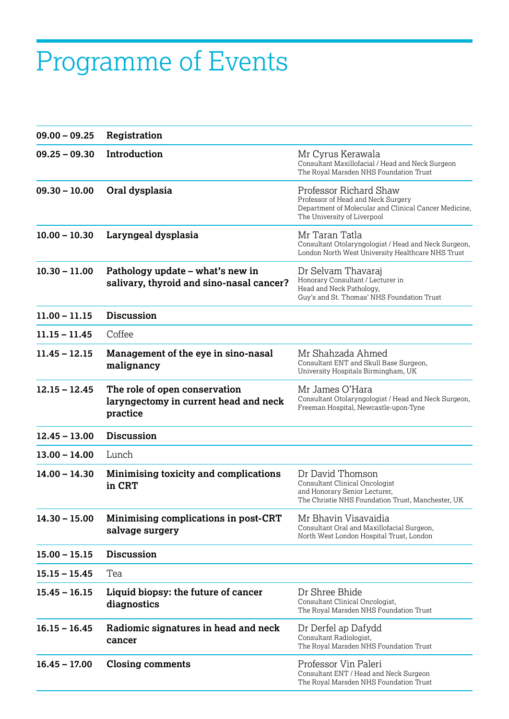# Programme of Events

| $09.00 - 09.25$ | Registration                                                                       |                                                                                                                                                      |
|-----------------|------------------------------------------------------------------------------------|------------------------------------------------------------------------------------------------------------------------------------------------------|
| $09.25 - 09.30$ | Introduction                                                                       | Mr Cyrus Kerawala<br>Consultant Maxillofacial / Head and Neck Surgeon<br>The Royal Marsden NHS Foundation Trust                                      |
| $09.30 - 10.00$ | Oral dysplasia                                                                     | Professor Richard Shaw<br>Professor of Head and Neck Surgery<br>Department of Molecular and Clinical Cancer Medicine,<br>The University of Liverpool |
| $10.00 - 10.30$ | Laryngeal dysplasia                                                                | Mr Taran Tatla<br>Consultant Otolaryngologist / Head and Neck Surgeon,<br>London North West University Healthcare NHS Trust                          |
| $10.30 - 11.00$ | Pathology update - what's new in<br>salivary, thyroid and sino-nasal cancer?       | Dr Selvam Thavaraj<br>Honorary Consultant / Lecturer in<br>Head and Neck Pathology,<br>Guy's and St. Thomas' NHS Foundation Trust                    |
| $11.00 - 11.15$ | <b>Discussion</b>                                                                  |                                                                                                                                                      |
| $11.15 - 11.45$ | Coffee                                                                             |                                                                                                                                                      |
| $11.45 - 12.15$ | Management of the eye in sino-nasal<br>malignancy                                  | Mr Shahzada Ahmed<br>Consultant ENT and Skull Base Surgeon,<br>University Hospitals Birmingham, UK                                                   |
| $12.15 - 12.45$ | The role of open conservation<br>laryngectomy in current head and neck<br>practice | Mr James O'Hara<br>Consultant Otolaryngologist / Head and Neck Surgeon,<br>Freeman Hospital, Newcastle-upon-Tyne                                     |
| $12.45 - 13.00$ | <b>Discussion</b>                                                                  |                                                                                                                                                      |
| $13.00 - 14.00$ | Lunch                                                                              |                                                                                                                                                      |
| $14.00 - 14.30$ | Minimising toxicity and complications<br>in CRT                                    | Dr David Thomson<br>Consultant Clinical Oncologist<br>and Honorary Senior Lecturer,<br>The Christie NHS Foundation Trust, Manchester, UK             |
| $14.30 - 15.00$ | Minimising complications in post-CRT<br>salvage surgery                            | Mr Bhavin Visavaidia<br>Consultant Oral and Maxillofacial Surgeon,<br>North West London Hospital Trust, London                                       |
| $15.00 - 15.15$ | <b>Discussion</b>                                                                  |                                                                                                                                                      |
| $15.15 - 15.45$ | Tea                                                                                |                                                                                                                                                      |
| $15.45 - 16.15$ | Liquid biopsy: the future of cancer<br>diagnostics                                 | Dr Shree Bhide<br>Consultant Clinical Oncologist,<br>The Royal Marsden NHS Foundation Trust                                                          |
| $16.15 - 16.45$ | Radiomic signatures in head and neck<br>cancer                                     | Dr Derfel ap Dafydd<br>Consultant Radiologist,<br>The Royal Marsden NHS Foundation Trust                                                             |
| $16.45 - 17.00$ | <b>Closing comments</b>                                                            | Professor Vin Paleri<br>Consultant ENT / Head and Neck Surgeon<br>The Royal Marsden NHS Foundation Trust                                             |